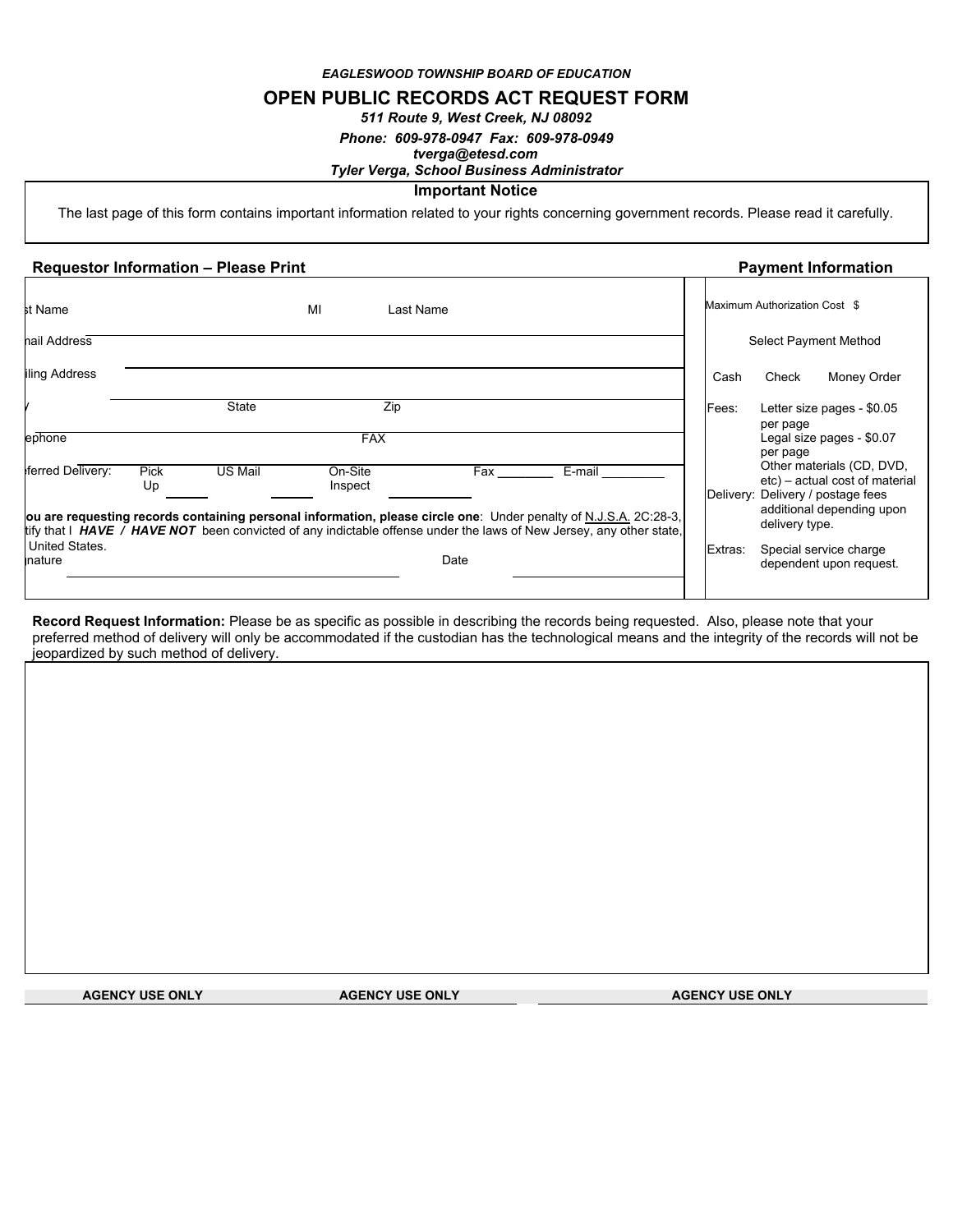*EAGLESWOOD TOWNSHIP BOARD OF EDUCATION*

## **OPEN PUBLIC RECORDS ACT REQUEST FORM**

*511 Route 9, West Creek, NJ 08092*

*Phone: 609-978-0947 Fax: 609-978-0949*

### *tverga@etesd.com Tyler Verga, School Business Administrator*

# **Important Notice**

The last page of this form contains important information related to your rights concerning government records. Please read it carefully.

#### **Requestor Information – Please Print Payment Information**

| st Name                          |            |              | MI                 | Last Name                                                                                                                                                                                                                                                |         | Maximum Authorization Cost \$                                                                                                                   |
|----------------------------------|------------|--------------|--------------------|----------------------------------------------------------------------------------------------------------------------------------------------------------------------------------------------------------------------------------------------------------|---------|-------------------------------------------------------------------------------------------------------------------------------------------------|
| nail Address                     |            |              |                    |                                                                                                                                                                                                                                                          |         | Select Payment Method                                                                                                                           |
| iling Address                    |            |              |                    |                                                                                                                                                                                                                                                          | Cash    | Check<br>Money Order                                                                                                                            |
| ephone                           |            | <b>State</b> | Zip<br><b>FAX</b>  |                                                                                                                                                                                                                                                          | Fees:   | Letter size pages - \$0.05<br>per page<br>Legal size pages - \$0.07<br>per page                                                                 |
| ferred Delivery:                 | Pick<br>Up | US Mail      | On-Site<br>Inspect | E-mail<br>Fax<br>ou are requesting records containing personal information, please circle one: Under penalty of N.J.S.A. 2C:28-3,<br>tify that I HAVE / HAVE NOT been convicted of any indictable offense under the laws of New Jersey, any other state, |         | Other materials (CD, DVD,<br>etc) – actual cost of material<br>Delivery: Delivery / postage fees<br>additional depending upon<br>delivery type. |
| <b>United States.</b><br>inature |            |              |                    | Date                                                                                                                                                                                                                                                     | Extras: | Special service charge<br>dependent upon request.                                                                                               |

**Record Request Information:** Please be as specific as possible in describing the records being requested. Also, please note that your preferred method of delivery will only be accommodated if the custodian has the technological means and the integrity of the records will not be jeopardized by such method of delivery.

**AGENCY USE ONLY AGENCY USE ONLY AGENCY USE ONLY**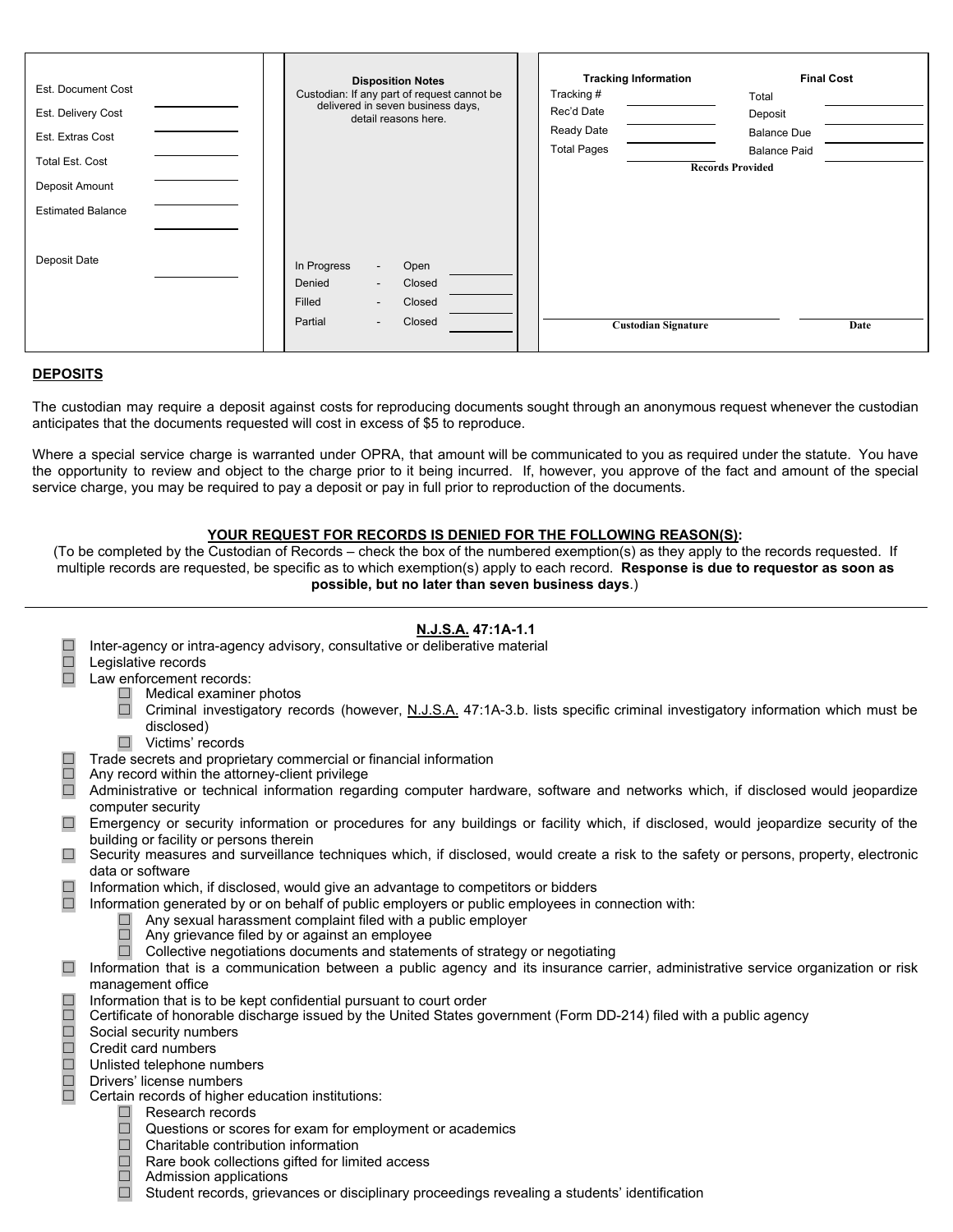| Est. Document Cost<br>Est. Delivery Cost<br>Est. Extras Cost<br><b>Total Est. Cost</b><br>Deposit Amount<br><b>Estimated Balance</b> | <b>Disposition Notes</b><br>Custodian: If any part of request cannot be<br>delivered in seven business days,<br>detail reasons here.                                           | <b>Tracking Information</b><br>Tracking#<br>Rec'd Date<br>Ready Date<br><b>Total Pages</b> | <b>Final Cost</b><br>Total<br>Deposit<br><b>Balance Due</b><br><b>Balance Paid</b><br><b>Records Provided</b> |
|--------------------------------------------------------------------------------------------------------------------------------------|--------------------------------------------------------------------------------------------------------------------------------------------------------------------------------|--------------------------------------------------------------------------------------------|---------------------------------------------------------------------------------------------------------------|
| Deposit Date                                                                                                                         | In Progress<br>Open<br>$\sim$<br>Denied<br>Closed<br>$\overline{\phantom{a}}$<br>Filled<br>Closed<br>$\overline{\phantom{a}}$<br>Partial<br>Closed<br>$\overline{\phantom{a}}$ | <b>Custodian Signature</b>                                                                 | Date                                                                                                          |

### **DEPOSITS**

The custodian may require a deposit against costs for reproducing documents sought through an anonymous request whenever the custodian anticipates that the documents requested will cost in excess of \$5 to reproduce.

Where a special service charge is warranted under OPRA, that amount will be communicated to you as required under the statute. You have the opportunity to review and object to the charge prior to it being incurred. If, however, you approve of the fact and amount of the special service charge, you may be required to pay a deposit or pay in full prior to reproduction of the documents.

### **YOUR REQUEST FOR RECORDS IS DENIED FOR THE FOLLOWING REASON(S):**

(To be completed by the Custodian of Records – check the box of the numbered exemption(s) as they apply to the records requested. If multiple records are requested, be specific as to which exemption(s) apply to each record. **Response is due to requestor as soon as possible, but no later than seven business days**.)

## **N.J.S.A. 47:1A-1.1**

- □ Inter-agency or intra-agency advisory, consultative or deliberative material<br>□ Legislative records
- Legislative records
- ☐ Law enforcement records:
	- $\Box$  Medical examiner photos
	- □ Criminal investigatory records (however, N.J.S.A. 47:1A-3.b. lists specific criminal investigatory information which must be disclosed)
	- ☐ Victims' records
	- Trade secrets and proprietary commercial or financial information
- ☐ Any record within the attorney-client privilege
- □ Administrative or technical information regarding computer hardware, software and networks which, if disclosed would jeopardize computer security
- □ Emergency or security information or procedures for any buildings or facility which, if disclosed, would jeopardize security of the building or facility or persons therein
- □ Security measures and surveillance techniques which, if disclosed, would create a risk to the safety or persons, property, electronic data or software
- □ Information which, if disclosed, would give an advantage to competitors or bidders
- □ Information generated by or on behalf of public employers or public employees in connection with:
	- $\Box$  Any sexual harassment complaint filed with a public employer
	- ☐ Any grievance filed by or against an employee
	- ☐ Collective negotiations documents and statements of strategy or negotiating

□ Information that is a communication between a public agency and its insurance carrier, administrative service organization or risk management office

- 
- □ Information that is to be kept confidential pursuant to court order<br>□ Certificate of honorable discharge issued by the United States gc<br>□ Social security numbers<br>□ Credit card numbers<br>□ Unlisted telephone numbers<br>□ Cert ☐ Certificate of honorable discharge issued by the United States government (Form DD-214) filed with a public agency
	- Social security numbers
	- ☐ Credit card numbers

## Unlisted telephone numbers

- Drivers' license numbers
- Certain records of higher education institutions:
	- ☐ Research records
	- $\Box$  Questions or scores for exam for employment or academics
	- ☐ Charitable contribution information
	- ☐ Rare book collections gifted for limited access
	- ☐ Admission applications
	- ☐ Student records, grievances or disciplinary proceedings revealing a students' identification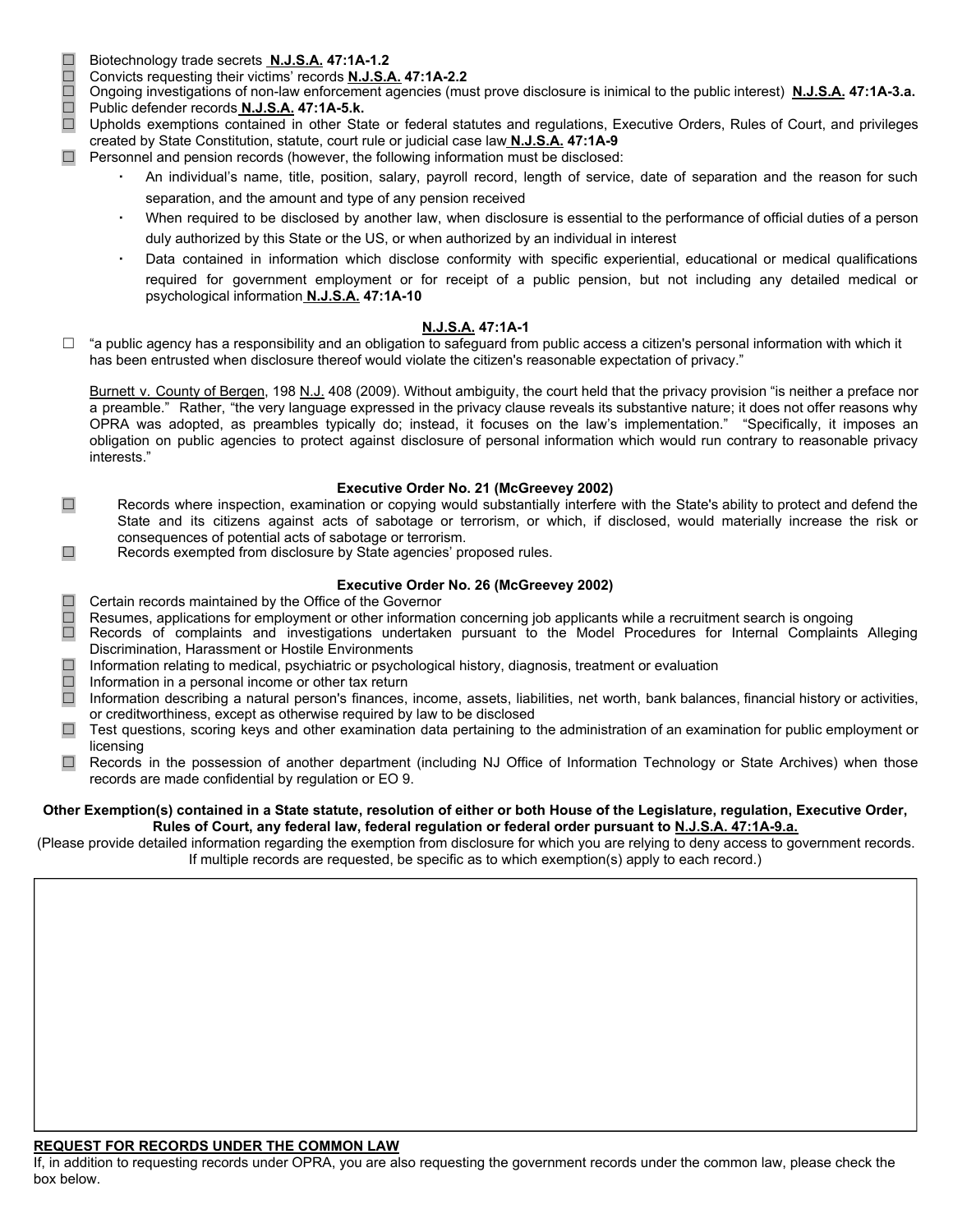- ☐ Biotechnology trade secrets **N.J.S.A. 47:1A-1.2**
	-
- ☐ Convicts requesting their victims' records **N.J.S.A. 47:1A-2.2** Ongoing investigations of non-law enforcement agencies (must prove disclosure is inimical to the public interest) N.J.S.A. 47:1A-3.a. ☐ Public defender records **N.J.S.A. 47:1A-5.k.**
- □ Upholds exemptions contained in other State or federal statutes and regulations, Executive Orders, Rules of Court, and privileges created by State Constitution, statute, court rule or judicial case law **N.J.S.A. 47:1A-9**
- $\Box$  Personnel and pension records (however, the following information must be disclosed:
	- An individual's name, title, position, salary, payroll record, length of service, date of separation and the reason for such separation, and the amount and type of any pension received
	- When required to be disclosed by another law, when disclosure is essential to the performance of official duties of a person duly authorized by this State or the US, or when authorized by an individual in interest
	- Data contained in information which disclose conformity with specific experiential, educational or medical qualifications required for government employment or for receipt of a public pension, but not including any detailed medical or psychological information **N.J.S.A. 47:1A-10**

### **N.J.S.A. 47:1A-1**

 $\Box$  "a public agency has a responsibility and an obligation to safeguard from public access a citizen's personal information with which it has been entrusted when disclosure thereof would violate the citizen's reasonable expectation of privacy."

Burnett v. County of Bergen, 198 N.J. 408 (2009). Without ambiguity, the court held that the privacy provision "is neither a preface nor a preamble." Rather, "the very language expressed in the privacy clause reveals its substantive nature; it does not offer reasons why OPRA was adopted, as preambles typically do; instead, it focuses on the law's implementation." "Specifically, it imposes an obligation on public agencies to protect against disclosure of personal information which would run contrary to reasonable privacy interests."

## **Executive Order No. 21 (McGreevey 2002)**

- ☐ Records where inspection, examination or copying would substantially interfere with the State's ability to protect and defend the State and its citizens against acts of sabotage or terrorism, or which, if disclosed, would materially increase the risk or consequences of potential acts of sabotage or terrorism.
- ☐ Records exempted from disclosure by State agencies' proposed rules.

## **Executive Order No. 26 (McGreevey 2002)**

- □ Certain records maintained by the Office of the Governor
- □ Resumes, applications for employment or other information concerning job applicants while a recruitment search is ongoing<br>□ Records of complaints and investigations undertaken pursuant to the Model Procedures for Intern
- Records of complaints and investigations undertaken pursuant to the Model Procedures for Internal Complaints Alleging Discrimination, Harassment or Hostile Environments
- ☐ Information relating to medical, psychiatric or psychological history, diagnosis, treatment or evaluation
- $\Box$  Information in a personal income or other tax return  $\Box$  Information describing a natural person's finances.
- Information describing a natural person's finances, income, assets, liabilities, net worth, bank balances, financial history or activities, or creditworthiness, except as otherwise required by law to be disclosed
- ☐ Test questions, scoring keys and other examination data pertaining to the administration of an examination for public employment or licensing
- ☐ Records in the possession of another department (including NJ Office of Information Technology or State Archives) when those records are made confidential by regulation or EO 9.

#### **Other Exemption(s) contained in a State statute, resolution of either or both House of the Legislature, regulation, Executive Order, Rules of Court, any federal law, federal regulation or federal order pursuant to N.J.S.A. 47:1A-9.a.**

(Please provide detailed information regarding the exemption from disclosure for which you are relying to deny access to government records. If multiple records are requested, be specific as to which exemption(s) apply to each record.)

## **REQUEST FOR RECORDS UNDER THE COMMON LAW**

If, in addition to requesting records under OPRA, you are also requesting the government records under the common law, please check the box below.